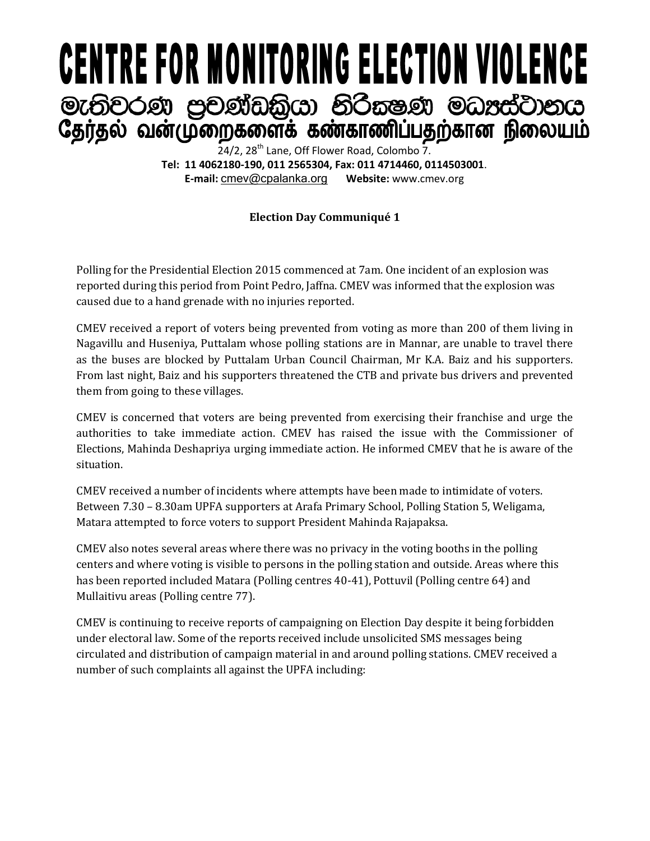## **CENTRE FOR MONITORING ELECTION VIOLENCE** මැතිවරණ පුචණ්ඩකියා නිරිකෂණ මධාප්ටානය தேர்தல் வன்முறைகளைக் கண்காணிப்பதற்கான நிலையம்

 $24/2$ ,  $28<sup>th</sup>$  Lane, Off Flower Road, Colombo 7. **Tel: 11 4062180-190, 011 2565304, Fax: 011 4714460, 0114503001**. **E-mail:** [cmev@cpalanka.org](mailto:cmev@cpalanka.org) **Website:** www.cmev.org

## **Election Day Communiqué 1**

Polling for the Presidential Election 2015 commenced at 7am. One incident of an explosion was reported during this period from Point Pedro, Jaffna. CMEV was informed that the explosion was caused due to a hand grenade with no injuries reported.

CMEV received a report of voters being prevented from voting as more than 200 of them living in Nagavillu and Huseniya, Puttalam whose polling stations are in Mannar, are unable to travel there as the buses are blocked by Puttalam Urban Council Chairman, Mr K.A. Baiz and his supporters. From last night, Baiz and his supporters threatened the CTB and private bus drivers and prevented them from going to these villages.

CMEV is concerned that voters are being prevented from exercising their franchise and urge the authorities to take immediate action. CMEV has raised the issue with the Commissioner of Elections, Mahinda Deshapriya urging immediate action. He informed CMEV that he is aware of the situation.

CMEV received a number of incidents where attempts have been made to intimidate of voters. Between 7.30 – 8.30am UPFA supporters at Arafa Primary School, Polling Station 5, Weligama, Matara attempted to force voters to support President Mahinda Rajapaksa.

CMEV also notes several areas where there was no privacy in the voting booths in the polling centers and where voting is visible to persons in the polling station and outside. Areas where this has been reported included Matara (Polling centres 40-41), Pottuvil (Polling centre 64) and Mullaitivu areas (Polling centre 77).

CMEV is continuing to receive reports of campaigning on Election Day despite it being forbidden under electoral law. Some of the reports received include unsolicited SMS messages being circulated and distribution of campaign material in and around polling stations. CMEV received a number of such complaints all against the UPFA including: